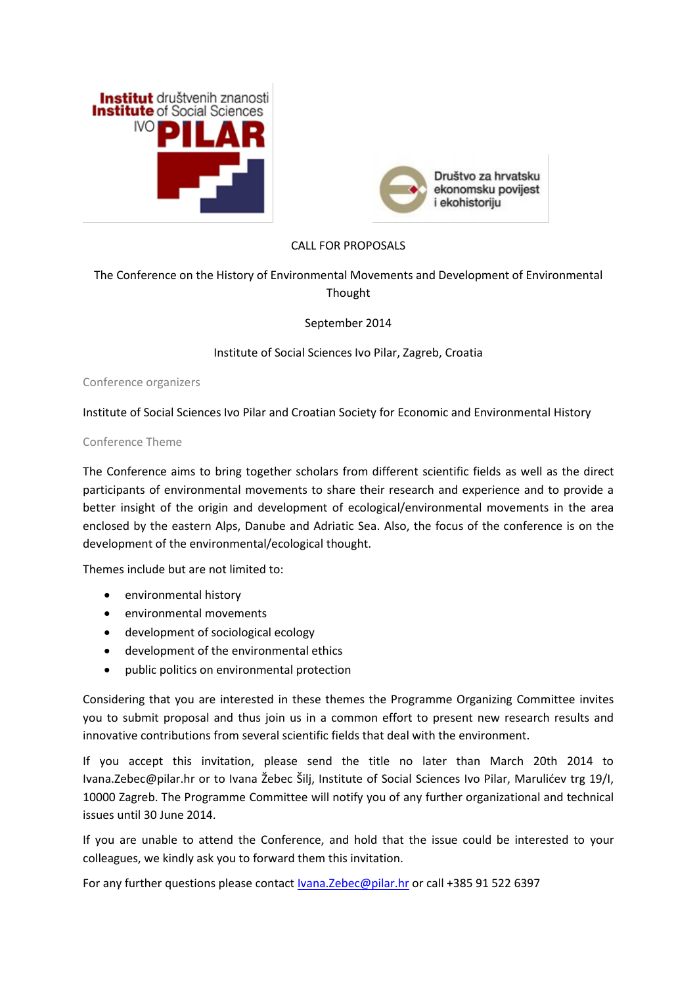



## CALL FOR PROPOSALS

## The Conference on the History of Environmental Movements and Development of Environmental Thought

September 2014

Institute of Social Sciences Ivo Pilar, Zagreb, Croatia

Conference organizers

Institute of Social Sciences Ivo Pilar and Croatian Society for Economic and Environmental History

## Conference Theme

The Conference aims to bring together scholars from different scientific fields as well as the direct participants of environmental movements to share their research and experience and to provide a better insight of the origin and development of ecological/environmental movements in the area enclosed by the eastern Alps, Danube and Adriatic Sea. Also, the focus of the conference is on the development of the environmental/ecological thought.

Themes include but are not limited to:

- environmental history
- environmental movements
- development of sociological ecology
- development of the environmental ethics
- public politics on environmental protection

Considering that you are interested in these themes the Programme Organizing Committee invites you to submit proposal and thus join us in a common effort to present new research results and innovative contributions from several scientific fields that deal with the environment.

If you accept this invitation, please send the title no later than March 20th 2014 to Ivana.Zebec@pilar.hr or to Ivana Žebec Šilj, Institute of Social Sciences Ivo Pilar, Marulićev trg 19/I, 10000 Zagreb. The Programme Committee will notify you of any further organizational and technical issues until 30 June 2014.

If you are unable to attend the Conference, and hold that the issue could be interested to your colleagues, we kindly ask you to forward them this invitation.

For any further questions please contact [Ivana.Zebec@pilar.hr](mailto:Ivana.Zebec@pilar.hr) or call +385 91 522 6397